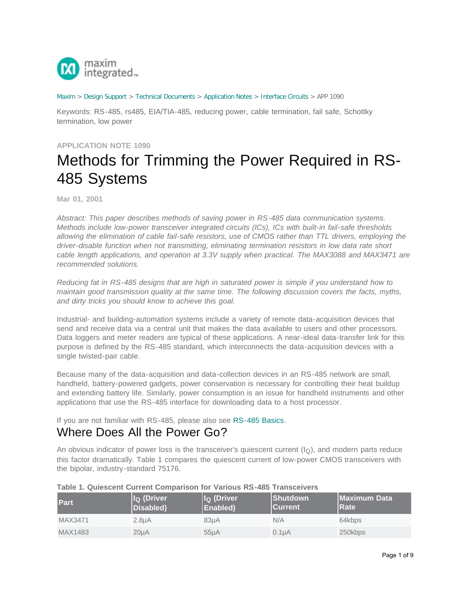

#### [Maxim](http://www.maximintegrated.com/) > [Design Support](http://www.maximintegrated.com/design/) > [Technical Documents](http://www.maximintegrated.com/design/techdocs/) > [Application Notes](http://www.maximintegrated.com/design/techdocs/app-notes/index.mvp) > [Interface Circuits](http://www.maximintegrated.com/design/techdocs/app-notes/index.mvp/id/14/c/Interface%20Circuits#c14) > APP 1090

Keywords: RS-485, rs485, EIA/TIA-485, reducing power, cable termination, fail safe, Schottky termination, low power

#### **APPLICATION NOTE 1090**

# Methods for Trimming the Power Required in RS-485 Systems

**Mar 01, 2001**

*Abstract: This paper describes methods of saving power in RS-485 data communication systems. Methods include low-power transceiver integrated circuits (ICs), ICs with built-in fail-safe thresholds allowing the elimination of cable fail-safe resistors, use of CMOS rather than TTL drivers, employing the driver-disable function when not transmitting, eliminating termination resistors in low data rate short cable length applications, and operation at 3.3V supply when practical. The MAX3088 and MAX3471 are recommended solutions.*

*Reducing fat in RS-485 designs that are high in saturated power is simple if you understand how to maintain good transmission quality at the same time. The following discussion covers the facts, myths, and dirty tricks you should know to achieve this goal.*

Industrial- and building-automation systems include a variety of remote data-acquisition devices that send and receive data via a central unit that makes the data available to users and other processors. Data loggers and meter readers are typical of these applications. A near-ideal data-transfer link for this purpose is defined by the RS-485 standard, which interconnects the data-acquisition devices with a single twisted-pair cable.

Because many of the data-acquisition and data-collection devices in an RS-485 network are small, handheld, battery-powered gadgets, power conservation is necessary for controlling their heat buildup and extending battery life. Similarly, power consumption is an issue for handheld instruments and other applications that use the RS-485 interface for downloading data to a host processor.

If you are not familiar with RS-485, please also see [RS-485 Basics.](http://www.maximintegrated.com/tarticle/view_article.cfm?article_id=119)

### Where Does All the Power Go?

An obvious indicator of power loss is the transceiver's quiescent current  $(I<sub>Q</sub>)$ , and modern parts reduce this factor dramatically. Table 1 compares the quiescent current of low-power CMOS transceivers with the bipolar, industry-standard 75176.

| <b>Part</b> | $\vert I_{\mathsf{Q}}\vert$ (Driver<br>Disabled) | ll <sub>Q</sub> (Driver<br>Enabled) | <b>Shutdown</b><br><b>Current</b> | <b>Maximum Data</b><br>Rate |
|-------------|--------------------------------------------------|-------------------------------------|-----------------------------------|-----------------------------|
| MAX3471     | 2.8 <sub>U</sub> A                               | 83uA                                | N/A                               | 64kbps                      |
| MAX1483     | 20µA                                             | 55 <sub>µ</sub> A                   | 0.1 <sub>µ</sub> A                | 250kbps                     |

#### **Table 1. Quiescent Current Comparison for Various RS-485 Transceivers**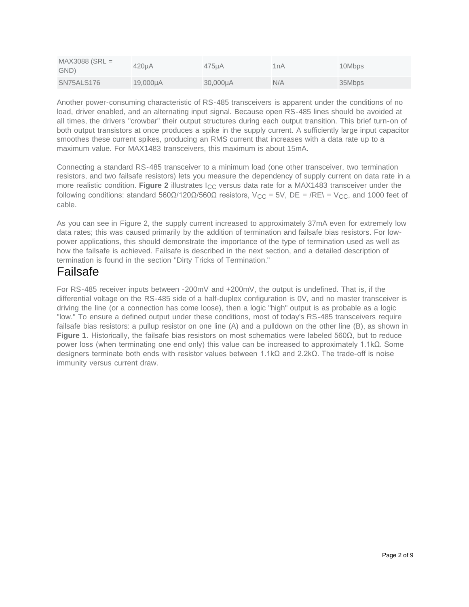| $MAX3088$ (SRL =<br>GND) | 420uA    | 475uA    | 1nA | 10Mbps |
|--------------------------|----------|----------|-----|--------|
| SN75ALS176               | 19,000µA | 30,000µA | N/A | 35Mbps |

Another power-consuming characteristic of RS-485 transceivers is apparent under the conditions of no load, driver enabled, and an alternating input signal. Because open RS-485 lines should be avoided at all times, the drivers "crowbar" their output structures during each output transition. This brief turn-on of both output transistors at once produces a spike in the supply current. A sufficiently large input capacitor smoothes these current spikes, producing an RMS current that increases with a data rate up to a maximum value. For MAX1483 transceivers, this maximum is about 15mA.

Connecting a standard RS-485 transceiver to a minimum load (one other transceiver, two termination resistors, and two failsafe resistors) lets you measure the dependency of supply current on data rate in a more realistic condition. **Figure 2** illustrates I<sub>CC</sub> versus data rate for a MAX1483 transceiver under the following conditions: standard 560Ω/120Ω/560Ω resistors, V<sub>CC</sub> = 5V, DE = /RE\ = V<sub>CC</sub>, and 1000 feet of cable.

As you can see in Figure 2, the supply current increased to approximately 37mA even for extremely low data rates; this was caused primarily by the addition of termination and failsafe bias resistors. For lowpower applications, this should demonstrate the importance of the type of termination used as well as how the failsafe is achieved. Failsafe is described in the next section, and a detailed description of termination is found in the section "Dirty Tricks of Termination."

# Failsafe

For RS-485 receiver inputs between -200mV and +200mV, the output is undefined. That is, if the differential voltage on the RS-485 side of a half-duplex configuration is 0V, and no master transceiver is driving the line (or a connection has come loose), then a logic "high" output is as probable as a logic "low." To ensure a defined output under these conditions, most of today's RS-485 transceivers require failsafe bias resistors: a pullup resistor on one line (A) and a pulldown on the other line (B), as shown in **Figure 1**. Historically, the failsafe bias resistors on most schematics were labeled 560Ω, but to reduce power loss (when terminating one end only) this value can be increased to approximately 1.1kΩ. Some designers terminate both ends with resistor values between 1.1kΩ and 2.2kΩ. The trade-off is noise immunity versus current draw.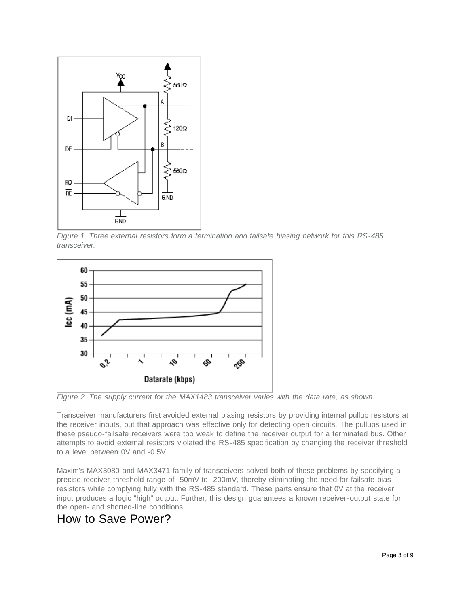

*Figure 1. Three external resistors form a termination and failsafe biasing network for this RS-485 transceiver.*



*Figure 2. The supply current for the MAX1483 transceiver varies with the data rate, as shown.*

Transceiver manufacturers first avoided external biasing resistors by providing internal pullup resistors at the receiver inputs, but that approach was effective only for detecting open circuits. The pullups used in these pseudo-failsafe receivers were too weak to define the receiver output for a terminated bus. Other attempts to avoid external resistors violated the RS-485 specification by changing the receiver threshold to a level between 0V and -0.5V.

Maxim's MAX3080 and MAX3471 family of transceivers solved both of these problems by specifying a precise receiver-threshold range of -50mV to -200mV, thereby eliminating the need for failsafe bias resistors while complying fully with the RS-485 standard. These parts ensure that 0V at the receiver input produces a logic "high" output. Further, this design guarantees a known receiver-output state for the open- and shorted-line conditions.

## How to Save Power?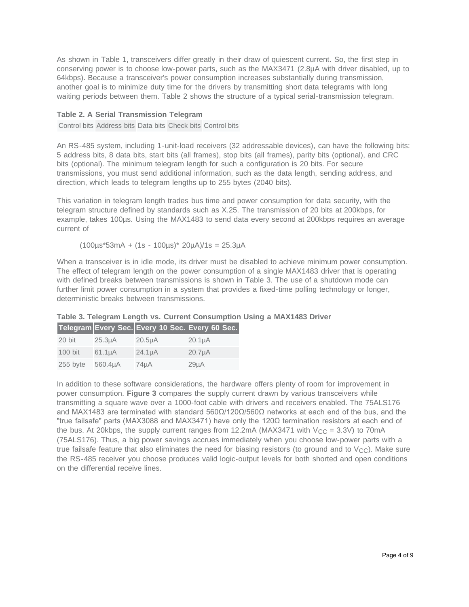As shown in Table 1, transceivers differ greatly in their draw of quiescent current. So, the first step in conserving power is to choose low-power parts, such as the MAX3471 (2.8µA with driver disabled, up to 64kbps). Because a transceiver's power consumption increases substantially during transmission, another goal is to minimize duty time for the drivers by transmitting short data telegrams with long waiting periods between them. Table 2 shows the structure of a typical serial-transmission telegram.

#### **Table 2. A Serial Transmission Telegram**

Control bits Address bits Data bits Check bits Control bits

An RS-485 system, including 1-unit-load receivers (32 addressable devices), can have the following bits: 5 address bits, 8 data bits, start bits (all frames), stop bits (all frames), parity bits (optional), and CRC bits (optional). The minimum telegram length for such a configuration is 20 bits. For secure transmissions, you must send additional information, such as the data length, sending address, and direction, which leads to telegram lengths up to 255 bytes (2040 bits).

This variation in telegram length trades bus time and power consumption for data security, with the telegram structure defined by standards such as X.25. The transmission of 20 bits at 200kbps, for example, takes 100µs. Using the MAX1483 to send data every second at 200kbps requires an average current of

(100µs\*53mA + (1s - 100µs)\* 20µA)/1s = 25.3µA

When a transceiver is in idle mode, its driver must be disabled to achieve minimum power consumption. The effect of telegram length on the power consumption of a single MAX1483 driver that is operating with defined breaks between transmissions is shown in Table 3. The use of a shutdown mode can further limit power consumption in a system that provides a fixed-time polling technology or longer, deterministic breaks between transmissions.

|           |             | Telegram Every Sec. Every 10 Sec. Every 60 Sec. |                     |
|-----------|-------------|-------------------------------------------------|---------------------|
| 20 bit    | $25.3\mu A$ | 20.5 <sub>µ</sub> A                             | 20.1 <sub>µ</sub> A |
| $100$ bit | $61.1\mu A$ | $24.1\mu A$                                     | 20.7 <sub>µ</sub> A |
| 255 byte  | 560.4µA     | 74µA                                            | $29\mu A$           |

### **Table 3. Telegram Length vs. Current Consumption Using a MAX1483 Driver**

In addition to these software considerations, the hardware offers plenty of room for improvement in power consumption. **Figure 3** compares the supply current drawn by various transceivers while transmitting a square wave over a 1000-foot cable with drivers and receivers enabled. The 75ALS176 and MAX1483 are terminated with standard 560Ω/120Ω/560Ω networks at each end of the bus, and the "true failsafe" parts (MAX3088 and MAX3471) have only the 120Ω termination resistors at each end of the bus. At 20kbps, the supply current ranges from 12.2mA (MAX3471 with  $V_{CC} = 3.3V$ ) to 70mA (75ALS176). Thus, a big power savings accrues immediately when you choose low-power parts with a true failsafe feature that also eliminates the need for biasing resistors (to ground and to  $V_{\rm CC}$ ). Make sure the RS-485 receiver you choose produces valid logic-output levels for both shorted and open conditions on the differential receive lines.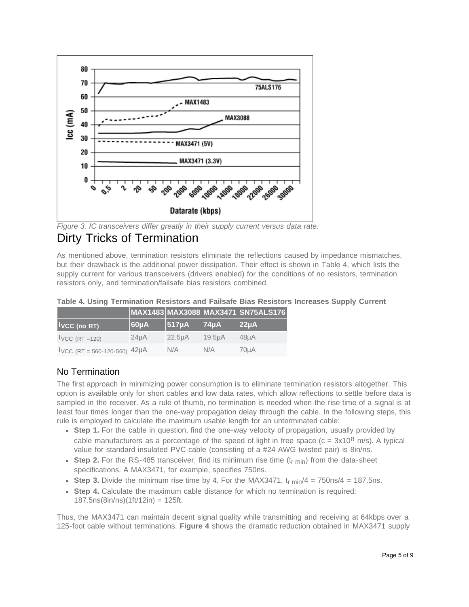

*Figure 3. IC transceivers differ greatly in their supply current versus data rate.*

# Dirty Tricks of Termination

As mentioned above, termination resistors eliminate the reflections caused by impedance mismatches, but their drawback is the additional power dissipation. Their effect is shown in Table 4, which lists the supply current for various transceivers (drivers enabled) for the conditions of no resistors, termination resistors only, and termination/failsafe bias resistors combined.

| Table 4. Using Termination Resistors and Failsafe Bias Resistors Increases Supply Current |  |  |  |
|-------------------------------------------------------------------------------------------|--|--|--|
|                                                                                           |  |  |  |

|                               |           |                     |            | MAX1483 MAX3088 MAX3471 SN75ALS176 |
|-------------------------------|-----------|---------------------|------------|------------------------------------|
| <b>IVCC</b> (no RT)           | $60\mu$ A | 517 <sub>µ</sub>    | $ 74\mu$ A | $ 22\mu A$                         |
| $VCC (RT = 120)$              | $24\mu$ A | 22.5 <sub>µ</sub> A | 19.5uA     | 48uA                               |
| $VCC (RT = 560-120-560)$ 42µA |           | N/A                 | N/A        | 70µA                               |

### No Termination

The first approach in minimizing power consumption is to eliminate termination resistors altogether. This option is available only for short cables and low data rates, which allow reflections to settle before data is sampled in the receiver. As a rule of thumb, no termination is needed when the rise time of a signal is at least four times longer than the one-way propagation delay through the cable. In the following steps, this rule is employed to calculate the maximum usable length for an unterminated cable:

- **Step 1.** For the cable in question, find the one-way velocity of propagation, usually provided by cable manufacturers as a percentage of the speed of light in free space ( $c = 3x10<sup>8</sup>$  m/s). A typical value for standard insulated PVC cable (consisting of a #24 AWG twisted pair) is 8in/ns.
- **Step 2.** For the RS-485 transceiver, find its minimum rise time  $(t_{r \text{ min}})$  from the data-sheet specifications. A MAX3471, for example, specifies 750ns.
- Step 3. Divide the minimum rise time by 4. For the MAX3471,  $t_{\text{r}}$  min/4 = 750ns/4 = 187.5ns.
- **Step 4.** Calculate the maximum cable distance for which no termination is required: 187.5ns(8in/ns)(1ft/12in) = 125ft.

Thus, the MAX3471 can maintain decent signal quality while transmitting and receiving at 64kbps over a 125-foot cable without terminations. **Figure 4** shows the dramatic reduction obtained in MAX3471 supply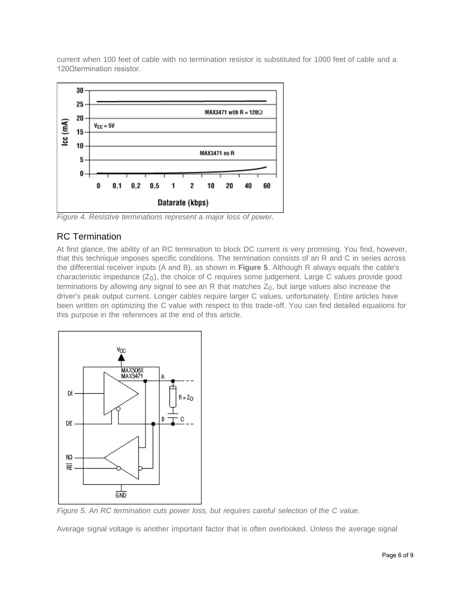current when 100 feet of cable with no termination resistor is substituted for 1000 feet of cable and a 120Ωtermination resistor.



*Figure 4. Resistive terminations represent a major loss of power.*

### RC Termination

At first glance, the ability of an RC termination to block DC current is very promising. You find, however, that this technique imposes specific conditions. The termination consists of an R and C in series across the differential receiver inputs (A and B), as shown in **Figure 5**. Although R always equals the cable's characteristic impedance  $(Z_0)$ , the choice of C requires some judgement. Large C values provide good terminations by allowing any signal to see an R that matches  $Z_0$ , but large values also increase the driver's peak output current. Longer cables require larger C values, unfortunately. Entire articles have been written on optimizing the C value with respect to this trade-off. You can find detailed equations for this purpose in the references at the end of this article.



*Figure 5. An RC termination cuts power loss, but requires careful selection of the C value.*

Average signal voltage is another important factor that is often overlooked. Unless the average signal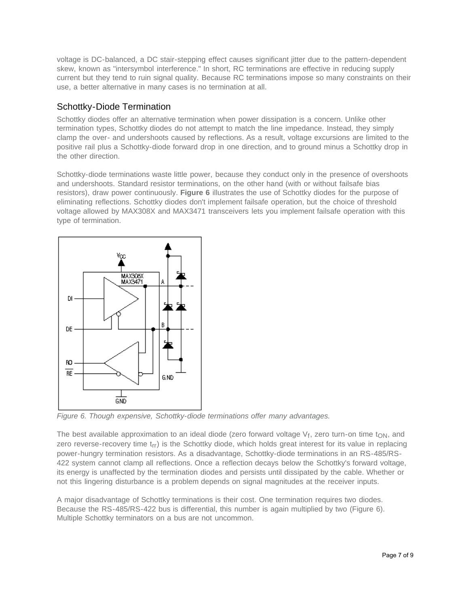voltage is DC-balanced, a DC stair-stepping effect causes significant jitter due to the pattern-dependent skew, known as "intersymbol interference." In short, RC terminations are effective in reducing supply current but they tend to ruin signal quality. Because RC terminations impose so many constraints on their use, a better alternative in many cases is no termination at all.

### Schottky-Diode Termination

Schottky diodes offer an alternative termination when power dissipation is a concern. Unlike other termination types, Schottky diodes do not attempt to match the line impedance. Instead, they simply clamp the over- and undershoots caused by reflections. As a result, voltage excursions are limited to the positive rail plus a Schottky-diode forward drop in one direction, and to ground minus a Schottky drop in the other direction.

Schottky-diode terminations waste little power, because they conduct only in the presence of overshoots and undershoots. Standard resistor terminations, on the other hand (with or without failsafe bias resistors), draw power continuously. **Figure 6** illustrates the use of Schottky diodes for the purpose of eliminating reflections. Schottky diodes don't implement failsafe operation, but the choice of threshold voltage allowed by MAX308X and MAX3471 transceivers lets you implement failsafe operation with this type of termination.



*Figure 6. Though expensive, Schottky-diode terminations offer many advantages.*

The best available approximation to an ideal diode (zero forward voltage  $V_f$ , zero turn-on time t<sub>ON</sub>, and zero reverse-recovery time t<sub>rr</sub>) is the Schottky diode, which holds great interest for its value in replacing power-hungry termination resistors. As a disadvantage, Schottky-diode terminations in an RS-485/RS-422 system cannot clamp all reflections. Once a reflection decays below the Schottky's forward voltage, its energy is unaffected by the termination diodes and persists until dissipated by the cable. Whether or not this lingering disturbance is a problem depends on signal magnitudes at the receiver inputs.

A major disadvantage of Schottky terminations is their cost. One termination requires two diodes. Because the RS-485/RS-422 bus is differential, this number is again multiplied by two (Figure 6). Multiple Schottky terminators on a bus are not uncommon.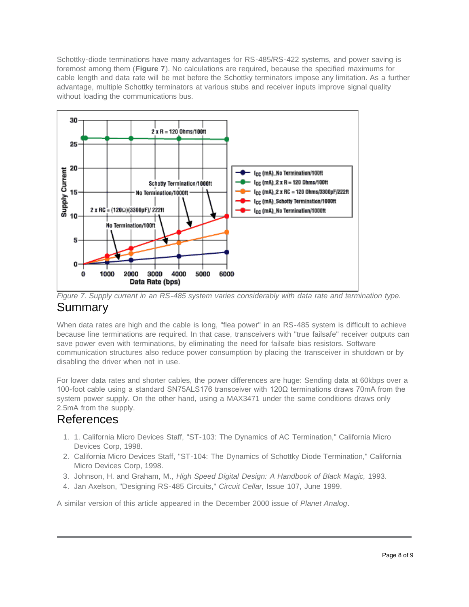Schottky-diode terminations have many advantages for RS-485/RS-422 systems, and power saving is foremost among them (**Figure 7**). No calculations are required, because the specified maximums for cable length and data rate will be met before the Schottky terminators impose any limitation. As a further advantage, multiple Schottky terminators at various stubs and receiver inputs improve signal quality without loading the communications bus.



*Figure 7. Supply current in an RS-485 system varies considerably with data rate and termination type.* Summary

When data rates are high and the cable is long, "flea power" in an RS-485 system is difficult to achieve because line terminations are required. In that case, transceivers with "true failsafe" receiver outputs can save power even with terminations, by eliminating the need for failsafe bias resistors. Software communication structures also reduce power consumption by placing the transceiver in shutdown or by disabling the driver when not in use.

For lower data rates and shorter cables, the power differences are huge: Sending data at 60kbps over a 100-foot cable using a standard SN75ALS176 transceiver with 120Ω terminations draws 70mA from the system power supply. On the other hand, using a MAX3471 under the same conditions draws only 2.5mA from the supply.

# References

- 1. 1. California Micro Devices Staff, "ST-103: The Dynamics of AC Termination," California Micro Devices Corp, 1998.
- 2. California Micro Devices Staff, "ST-104: The Dynamics of Schottky Diode Termination," California Micro Devices Corp, 1998.
- 3. Johnson, H. and Graham, M., *High Speed Digital Design: A Handbook of Black Magic,* 1993.
- 4. Jan Axelson, "Designing RS-485 Circuits," *Circuit Cellar,* Issue 107, June 1999.

A similar version of this article appeared in the December 2000 issue of *Planet Analog*.